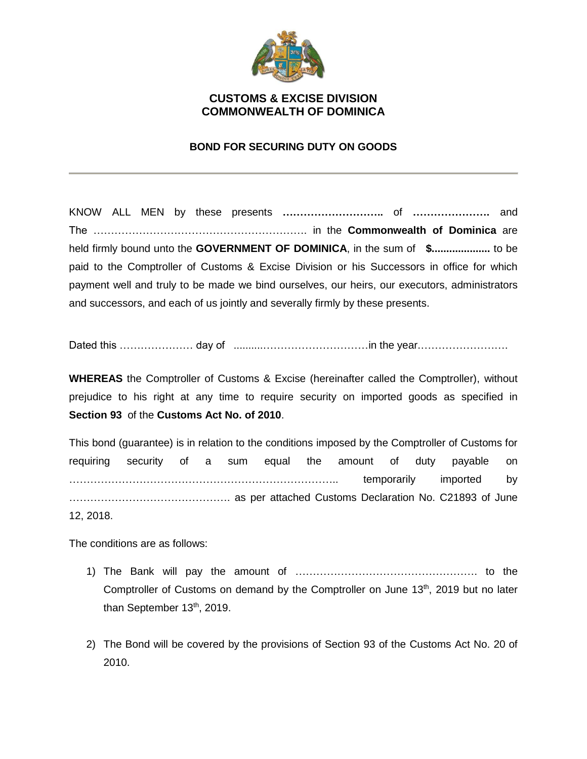

## **CUSTOMS & EXCISE DIVISION COMMONWEALTH OF DOMINICA**

## **BOND FOR SECURING DUTY ON GOODS**

KNOW ALL MEN by these presents **………………………..** of **………………….** and The ……………………………………………………. in the **Commonwealth of Dominica** are held firmly bound unto the **GOVERNMENT OF DOMINICA**, in the sum of **\$....................** to be paid to the Comptroller of Customs & Excise Division or his Successors in office for which payment well and truly to be made we bind ourselves, our heirs, our executors, administrators and successors, and each of us jointly and severally firmly by these presents.

Dated this ………………… day of ..........…………………………in the year.…………………….

**WHEREAS** the Comptroller of Customs & Excise (hereinafter called the Comptroller), without prejudice to his right at any time to require security on imported goods as specified in **Section 93** of the **Customs Act No. of 2010**.

This bond (guarantee) is in relation to the conditions imposed by the Comptroller of Customs for requiring security of a sum equal the amount of duty payable on ………………………………………………………………….. temporarily imported by ………………………………………. as per attached Customs Declaration No. C21893 of June 12, 2018.

The conditions are as follows:

- 1) The Bank will pay the amount of ……………………………………………. to the Comptroller of Customs on demand by the Comptroller on June  $13<sup>th</sup>$ , 2019 but no later than September 13<sup>th</sup>, 2019.
- 2) The Bond will be covered by the provisions of Section 93 of the Customs Act No. 20 of 2010.